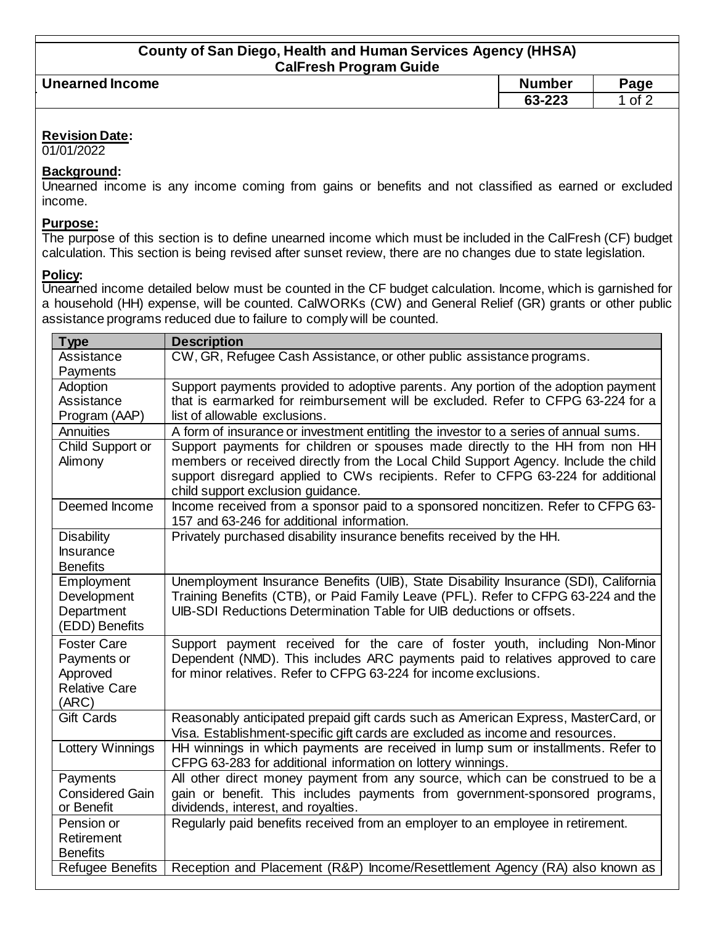| <b>County of San Diego, Health and Human Services Agency (HHSA)</b> |  |
|---------------------------------------------------------------------|--|
| <b>CalFresh Program Guide</b>                                       |  |

| __<br>. .              |                      |      |
|------------------------|----------------------|------|
| <b>Unearned Income</b> | umber                | Page |
|                        | co opp<br>ZZJ.<br>uu | of 1 |
|                        |                      |      |

# **Revision Date:**

01/01/2022

## **Background:**

Unearned income is any income coming from gains or benefits and not classified as earned or excluded income.

#### **Purpose:**

The purpose of this section is to define unearned income which must be included in the CalFresh (CF) budget calculation. This section is being revised after sunset review, there are no changes due to state legislation.

## **Policy:**

Unearned income detailed below must be counted in the CF budget calculation. Income, which is garnished for a household (HH) expense, will be counted. CalWORKs (CW) and General Relief (GR) grants or other public assistance programs reduced due to failure to comply will be counted.

| <b>Type</b>             | <b>Description</b>                                                                   |
|-------------------------|--------------------------------------------------------------------------------------|
| Assistance              | CW, GR, Refugee Cash Assistance, or other public assistance programs.                |
| Payments                |                                                                                      |
| Adoption                | Support payments provided to adoptive parents. Any portion of the adoption payment   |
| Assistance              | that is earmarked for reimbursement will be excluded. Refer to CFPG 63-224 for a     |
| Program (AAP)           | list of allowable exclusions.                                                        |
| Annuities               | A form of insurance or investment entitling the investor to a series of annual sums. |
| Child Support or        | Support payments for children or spouses made directly to the HH from non HH         |
| Alimony                 | members or received directly from the Local Child Support Agency. Include the child  |
|                         | support disregard applied to CWs recipients. Refer to CFPG 63-224 for additional     |
|                         | child support exclusion guidance.                                                    |
| Deemed Income           | Income received from a sponsor paid to a sponsored noncitizen. Refer to CFPG 63-     |
|                         | 157 and 63-246 for additional information.                                           |
| <b>Disability</b>       | Privately purchased disability insurance benefits received by the HH.                |
| <b>Insurance</b>        |                                                                                      |
| <b>Benefits</b>         |                                                                                      |
| Employment              | Unemployment Insurance Benefits (UIB), State Disability Insurance (SDI), California  |
| Development             | Training Benefits (CTB), or Paid Family Leave (PFL). Refer to CFPG 63-224 and the    |
| Department              | UIB-SDI Reductions Determination Table for UIB deductions or offsets.                |
| (EDD) Benefits          |                                                                                      |
| <b>Foster Care</b>      | Support payment received for the care of foster youth, including Non-Minor           |
| Payments or             | Dependent (NMD). This includes ARC payments paid to relatives approved to care       |
| Approved                | for minor relatives. Refer to CFPG 63-224 for income exclusions.                     |
| <b>Relative Care</b>    |                                                                                      |
| (ARC)                   |                                                                                      |
| <b>Gift Cards</b>       | Reasonably anticipated prepaid gift cards such as American Express, MasterCard, or   |
|                         | Visa. Establishment-specific gift cards are excluded as income and resources.        |
| Lottery Winnings        | HH winnings in which payments are received in lump sum or installments. Refer to     |
|                         | CFPG 63-283 for additional information on lottery winnings.                          |
| Payments                | All other direct money payment from any source, which can be construed to be a       |
| <b>Considered Gain</b>  | gain or benefit. This includes payments from government-sponsored programs,          |
| or Benefit              | dividends, interest, and royalties.                                                  |
| Pension or              | Regularly paid benefits received from an employer to an employee in retirement.      |
| Retirement              |                                                                                      |
| <b>Benefits</b>         |                                                                                      |
| <b>Refugee Benefits</b> | Reception and Placement (R&P) Income/Resettlement Agency (RA) also known as          |